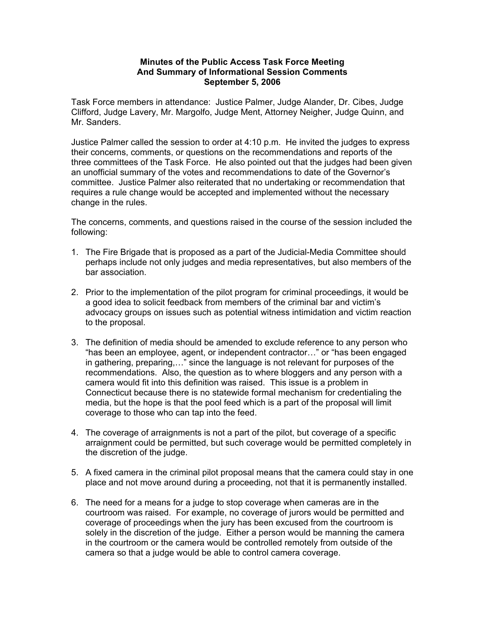## **Minutes of the Public Access Task Force Meeting And Summary of Informational Session Comments September 5, 2006**

Task Force members in attendance: Justice Palmer, Judge Alander, Dr. Cibes, Judge Clifford, Judge Lavery, Mr. Margolfo, Judge Ment, Attorney Neigher, Judge Quinn, and Mr. Sanders.

Justice Palmer called the session to order at 4:10 p.m. He invited the judges to express their concerns, comments, or questions on the recommendations and reports of the three committees of the Task Force. He also pointed out that the judges had been given an unofficial summary of the votes and recommendations to date of the Governor's committee. Justice Palmer also reiterated that no undertaking or recommendation that requires a rule change would be accepted and implemented without the necessary change in the rules.

The concerns, comments, and questions raised in the course of the session included the following:

- 1. The Fire Brigade that is proposed as a part of the Judicial-Media Committee should perhaps include not only judges and media representatives, but also members of the bar association.
- 2. Prior to the implementation of the pilot program for criminal proceedings, it would be a good idea to solicit feedback from members of the criminal bar and victim's advocacy groups on issues such as potential witness intimidation and victim reaction to the proposal.
- 3. The definition of media should be amended to exclude reference to any person who "has been an employee, agent, or independent contractor…" or "has been engaged in gathering, preparing,…" since the language is not relevant for purposes of the recommendations. Also, the question as to where bloggers and any person with a camera would fit into this definition was raised. This issue is a problem in Connecticut because there is no statewide formal mechanism for credentialing the media, but the hope is that the pool feed which is a part of the proposal will limit coverage to those who can tap into the feed.
- 4. The coverage of arraignments is not a part of the pilot, but coverage of a specific arraignment could be permitted, but such coverage would be permitted completely in the discretion of the judge.
- 5. A fixed camera in the criminal pilot proposal means that the camera could stay in one place and not move around during a proceeding, not that it is permanently installed.
- 6. The need for a means for a judge to stop coverage when cameras are in the courtroom was raised. For example, no coverage of jurors would be permitted and coverage of proceedings when the jury has been excused from the courtroom is solely in the discretion of the judge. Either a person would be manning the camera in the courtroom or the camera would be controlled remotely from outside of the camera so that a judge would be able to control camera coverage.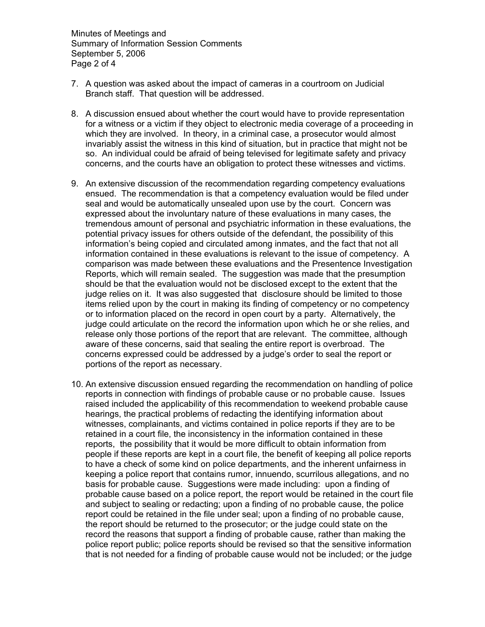Minutes of Meetings and Summary of Information Session Comments September 5, 2006 Page 2 of 4

- 7. A question was asked about the impact of cameras in a courtroom on Judicial Branch staff. That question will be addressed.
- 8. A discussion ensued about whether the court would have to provide representation for a witness or a victim if they object to electronic media coverage of a proceeding in which they are involved. In theory, in a criminal case, a prosecutor would almost invariably assist the witness in this kind of situation, but in practice that might not be so. An individual could be afraid of being televised for legitimate safety and privacy concerns, and the courts have an obligation to protect these witnesses and victims.
- 9. An extensive discussion of the recommendation regarding competency evaluations ensued. The recommendation is that a competency evaluation would be filed under seal and would be automatically unsealed upon use by the court. Concern was expressed about the involuntary nature of these evaluations in many cases, the tremendous amount of personal and psychiatric information in these evaluations, the potential privacy issues for others outside of the defendant, the possibility of this information's being copied and circulated among inmates, and the fact that not all information contained in these evaluations is relevant to the issue of competency. A comparison was made between these evaluations and the Presentence Investigation Reports, which will remain sealed. The suggestion was made that the presumption should be that the evaluation would not be disclosed except to the extent that the judge relies on it. It was also suggested that disclosure should be limited to those items relied upon by the court in making its finding of competency or no competency or to information placed on the record in open court by a party. Alternatively, the judge could articulate on the record the information upon which he or she relies, and release only those portions of the report that are relevant. The committee, although aware of these concerns, said that sealing the entire report is overbroad. The concerns expressed could be addressed by a judge's order to seal the report or portions of the report as necessary.
- 10. An extensive discussion ensued regarding the recommendation on handling of police reports in connection with findings of probable cause or no probable cause. Issues raised included the applicability of this recommendation to weekend probable cause hearings, the practical problems of redacting the identifying information about witnesses, complainants, and victims contained in police reports if they are to be retained in a court file, the inconsistency in the information contained in these reports, the possibility that it would be more difficult to obtain information from people if these reports are kept in a court file, the benefit of keeping all police reports to have a check of some kind on police departments, and the inherent unfairness in keeping a police report that contains rumor, innuendo, scurrilous allegations, and no basis for probable cause. Suggestions were made including: upon a finding of probable cause based on a police report, the report would be retained in the court file and subject to sealing or redacting; upon a finding of no probable cause, the police report could be retained in the file under seal; upon a finding of no probable cause, the report should be returned to the prosecutor; or the judge could state on the record the reasons that support a finding of probable cause, rather than making the police report public; police reports should be revised so that the sensitive information that is not needed for a finding of probable cause would not be included; or the judge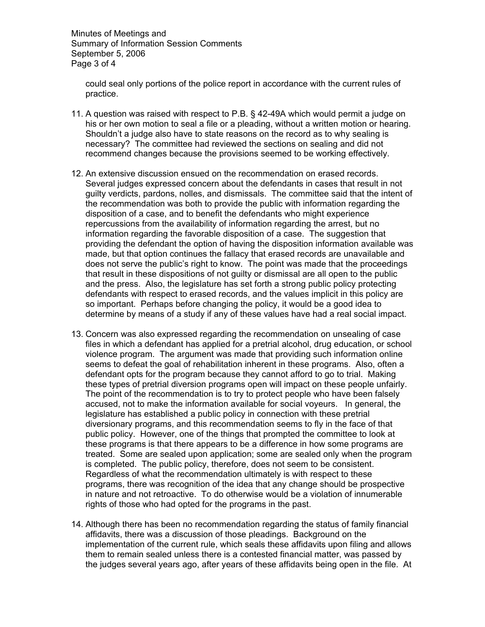Minutes of Meetings and Summary of Information Session Comments September 5, 2006 Page 3 of 4

could seal only portions of the police report in accordance with the current rules of practice.

- 11. A question was raised with respect to P.B. § 42-49A which would permit a judge on his or her own motion to seal a file or a pleading, without a written motion or hearing. Shouldn't a judge also have to state reasons on the record as to why sealing is necessary? The committee had reviewed the sections on sealing and did not recommend changes because the provisions seemed to be working effectively.
- 12. An extensive discussion ensued on the recommendation on erased records. Several judges expressed concern about the defendants in cases that result in not guilty verdicts, pardons, nolles, and dismissals. The committee said that the intent of the recommendation was both to provide the public with information regarding the disposition of a case, and to benefit the defendants who might experience repercussions from the availability of information regarding the arrest, but no information regarding the favorable disposition of a case. The suggestion that providing the defendant the option of having the disposition information available was made, but that option continues the fallacy that erased records are unavailable and does not serve the public's right to know. The point was made that the proceedings that result in these dispositions of not guilty or dismissal are all open to the public and the press. Also, the legislature has set forth a strong public policy protecting defendants with respect to erased records, and the values implicit in this policy are so important. Perhaps before changing the policy, it would be a good idea to determine by means of a study if any of these values have had a real social impact.
- 13. Concern was also expressed regarding the recommendation on unsealing of case files in which a defendant has applied for a pretrial alcohol, drug education, or school violence program. The argument was made that providing such information online seems to defeat the goal of rehabilitation inherent in these programs. Also, often a defendant opts for the program because they cannot afford to go to trial. Making these types of pretrial diversion programs open will impact on these people unfairly. The point of the recommendation is to try to protect people who have been falsely accused, not to make the information available for social voyeurs. In general, the legislature has established a public policy in connection with these pretrial diversionary programs, and this recommendation seems to fly in the face of that public policy. However, one of the things that prompted the committee to look at these programs is that there appears to be a difference in how some programs are treated. Some are sealed upon application; some are sealed only when the program is completed. The public policy, therefore, does not seem to be consistent. Regardless of what the recommendation ultimately is with respect to these programs, there was recognition of the idea that any change should be prospective in nature and not retroactive. To do otherwise would be a violation of innumerable rights of those who had opted for the programs in the past.
- 14. Although there has been no recommendation regarding the status of family financial affidavits, there was a discussion of those pleadings. Background on the implementation of the current rule, which seals these affidavits upon filing and allows them to remain sealed unless there is a contested financial matter, was passed by the judges several years ago, after years of these affidavits being open in the file. At